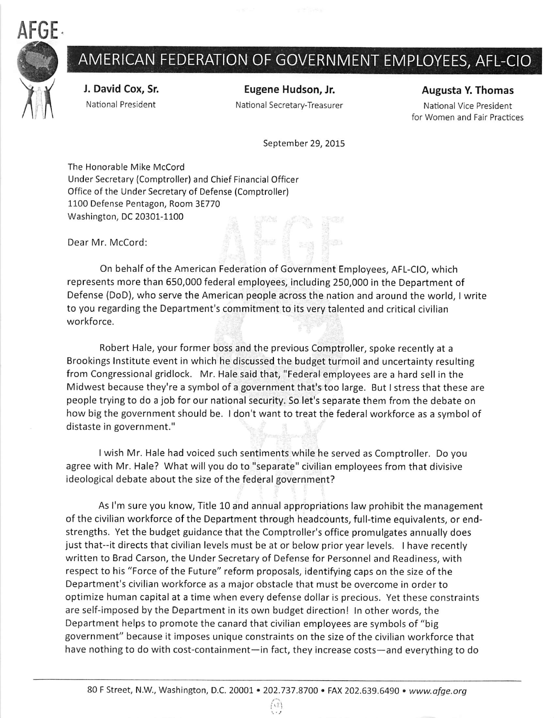

## AMERICAN FEDERATION OF GOVERNMENT EMPLOYEES, AFL-CIO

J. David Cox, Sr. National President

Eugene Hudson, Jr. National Secretary-Treasurer Augusta Y. Thomas

National Vice President for Women and Fair Practices

September 29, 2015

The Honorable Mike McCord Under Secretary (Comptroller) and Chief Financial Officer Office of the Under Secretary of Defense (Comptroller) 1100 Defense Pentagon, Room 3E770 Washington, DC 20301-1100

Dear Mr. McCord:

On behalf of the American Federation of Government Employees, AFL-CIO, which represents more than 650,000 federal employees, Including 250,000 in the Department of Defense (DoD), who serve the American people across the nation and around the world, I write to you regarding the Department's commitment to its very talented and critical civilian workforce.

Robert Hale, your former boss and the previous Comptroller, spoke recently at a Brookings Institute event in which he discussed the budget turmoil and uncertainty resulting from Congressional gridlock. Mr. Hale said that, "Federal employees are a hard sell in the Midwest because they're a symbol of a government that's too large. But Istress that these are people trying to do a job for our national security. So let's separate them from the debate on how big the government should be. I don't want to treat the federal workforce as a symbol of distaste in government."

I wish Mr. Hale had voiced such sentiments while he served as Comptroller. Do you agree with Mr. Hale? What will you do to "separate" civilian employees from that divisive ideological debate about the size of the federal government?

As I'm sure you know, Title 10 and annual appropriations law prohibit the management of the civilian workforce of the Department through headcounts, full-time equivalents, or endstrengths. Yet the budget guidance that the Comptroller's office promulgates annually does just that--it directs that civilian levels must be at or below prior year levels. I have recently written to Brad Carson, the Under Secretary of Defense for Personnel and Readiness, with respect to his "Force of the Future" reform proposals, identifying caps on the size of the Department's civilian workforce as a major obstacle that must be overcome in order to optimize human capital at a time when every defense dollar is precious. Yet these constraints are self-imposed by the Department in its own budget direction! In other words, the Department helps to promote the canard that civilian employees are symbols of "big government" because it imposes unique constraints on the size of the civilian workforce that have nothing to do with cost-containment—in fact, they increase costs—and everything to do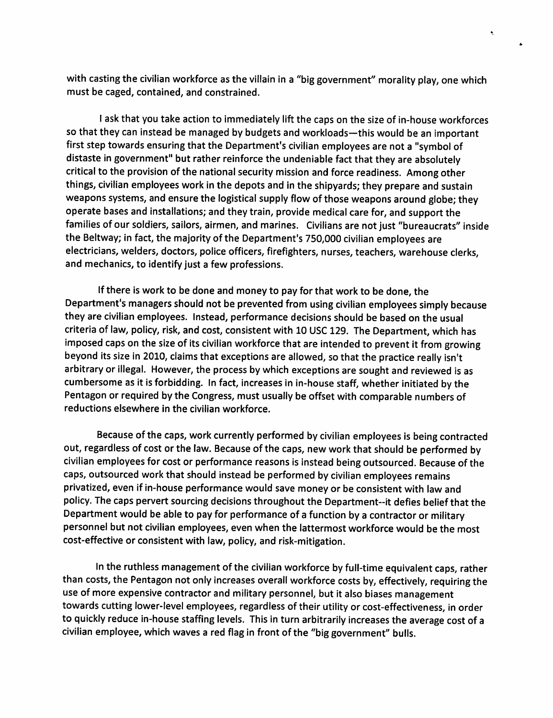with casting the civilian workforce as the villain in a "big government" morality play, one which must be caged, contained, and constrained.

 $\bullet$ 

I ask that you take action to immediately lift the caps on the size of in-house workforces so that they can instead be managed by budgets and workloads—this would be an important first step towards ensuring that the Department's civilian employees are not a "symbol of distaste in government" but rather reinforce the undeniable fact that they are absolutely critical to the provision of the national security mission and force readiness. Among other things, civilian employees work in the depots and in the shipyards; they prepare and sustain weapons systems, and ensure the logistical supply flow of those weapons around globe; they operate bases and installations; and they train, provide medical care for, and support the families of our soldiers, sailors, airmen, and marines. Civilians are not just "bureaucrats" inside the Beltway; in fact, the majority of the Department's 750,000 civilian employees are electricians, welders, doctors, police officers, firefighters, nurses, teachers, warehouse clerks, and mechanics, to identify just a few professions.

If there is work to be done and money to pay for that work to be done, the Department's managers should not be prevented from using civilian employees simply because they are civilian employees. Instead, performance decisions should be based on the usual criteria of law, policy, risk, and cost, consistent with 10 USC 129. The Department, which has imposed caps on the size of its civilian workforce that are intended to prevent it from growing beyond its size in 2010, claims that exceptions are allowed, so that the practice really isn't arbitrary or illegal. However, the process by which exceptions are sought and reviewed is as cumbersome as it is forbidding. In fact, increases in in-house staff, whether initiated by the Pentagon or required by the Congress, must usually be offset with comparable numbers of reductions elsewhere in the civilian workforce.

Because of the caps, work currently performed by civilian employees is being contracted out, regardless of cost or the law. Because of the caps, new work that should be performed by civilian employees for cost or performance reasons is instead being outsourced. Because of the caps, outsourced work that should instead be performed by civilian employees remains privatized, even if in-house performance would save money or be consistent with law and policy. The caps pervert sourcing decisions throughout the Department--it defies belief that the Department would be able to pay for performance of a function by a contractor or military personnel but not civilian employees, even when the lattermost workforce would be the most cost-effective or consistent with law, policy, and risk-mitigation.

In the ruthless management of the civilian workforce by full-time equivalent caps, rather than costs, the Pentagon not only increases overall workforce costs by, effectively, requiring the use of more expensive contractor and military personnel, but it also biases management towards cutting lower-level employees, regardless of their utility or cost-effectiveness, in order to quickly reduce in-house staffing levels. This in turn arbitrarily increases the average cost of a civilian employee, which waves a red flag in front of the "big government" bulls.